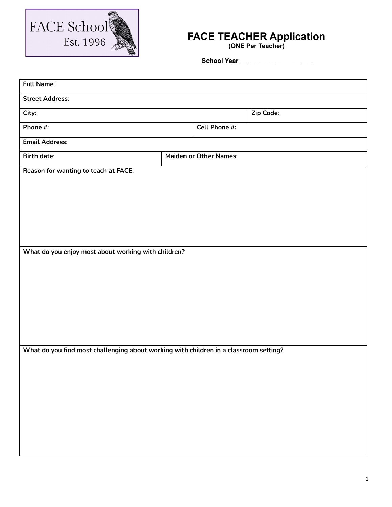

## **FACE TEACHER Application**

**(ONE Per Teacher)**

**School Year \_\_\_\_\_\_\_\_\_\_\_\_\_\_\_\_\_\_\_\_**

| <b>Full Name:</b>                                                                     |                               |               |           |  |  |
|---------------------------------------------------------------------------------------|-------------------------------|---------------|-----------|--|--|
| <b>Street Address:</b>                                                                |                               |               |           |  |  |
| City:                                                                                 |                               |               | Zip Code: |  |  |
| Phone #:                                                                              |                               | Cell Phone #: |           |  |  |
| <b>Email Address:</b>                                                                 |                               |               |           |  |  |
| <b>Birth date:</b>                                                                    | <b>Maiden or Other Names:</b> |               |           |  |  |
| Reason for wanting to teach at FACE:                                                  |                               |               |           |  |  |
|                                                                                       |                               |               |           |  |  |
|                                                                                       |                               |               |           |  |  |
|                                                                                       |                               |               |           |  |  |
|                                                                                       |                               |               |           |  |  |
|                                                                                       |                               |               |           |  |  |
| What do you enjoy most about working with children?                                   |                               |               |           |  |  |
|                                                                                       |                               |               |           |  |  |
|                                                                                       |                               |               |           |  |  |
|                                                                                       |                               |               |           |  |  |
|                                                                                       |                               |               |           |  |  |
|                                                                                       |                               |               |           |  |  |
|                                                                                       |                               |               |           |  |  |
| What do you find most challenging about working with children in a classroom setting? |                               |               |           |  |  |
|                                                                                       |                               |               |           |  |  |
|                                                                                       |                               |               |           |  |  |
|                                                                                       |                               |               |           |  |  |
|                                                                                       |                               |               |           |  |  |
|                                                                                       |                               |               |           |  |  |
|                                                                                       |                               |               |           |  |  |
|                                                                                       |                               |               |           |  |  |